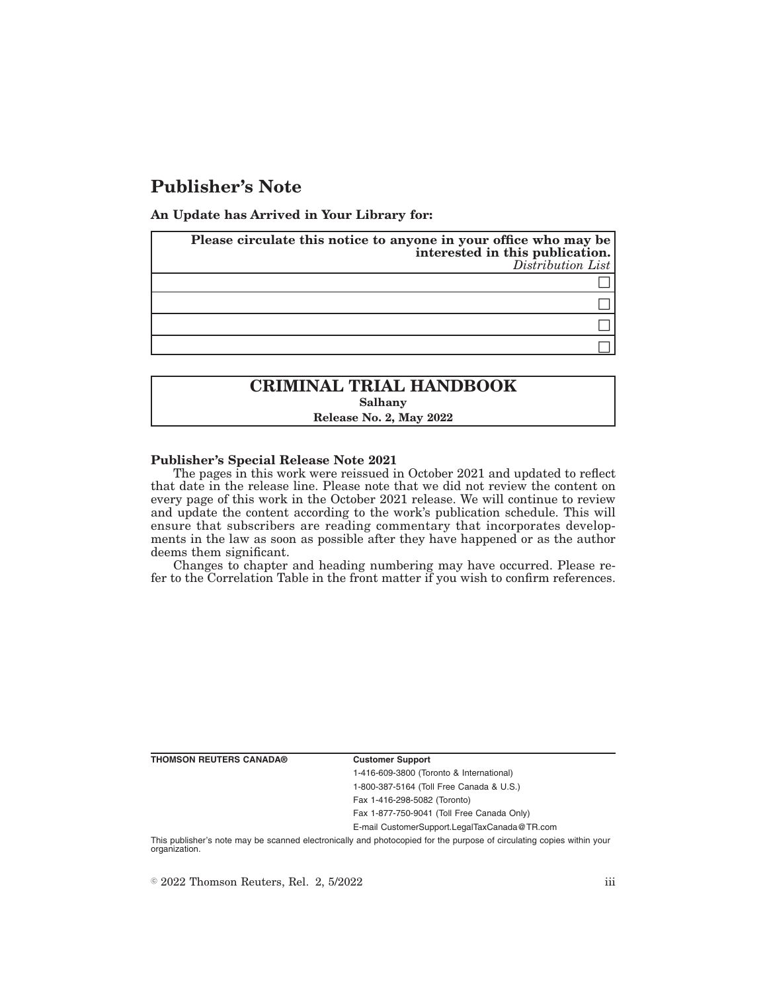# **Publisher's Note**

**An Update has Arrived in Your Library for:**

| Please circulate this notice to anyone in your office who may be<br>interested in this publication.<br>$Distriolution$ List |
|-----------------------------------------------------------------------------------------------------------------------------|
|                                                                                                                             |
|                                                                                                                             |
|                                                                                                                             |
|                                                                                                                             |

# **CRIMINAL TRIAL HANDBOOK**

**Salhany**

**Release No. 2, May 2022**

#### **Publisher's Special Release Note 2021**

The pages in this work were reissued in October 2021 and updated to reflect that date in the release line. Please note that we did not review the content on every page of this work in the October 2021 release. We will continue to review and update the content according to the work's publication schedule. This will ensure that subscribers are reading commentary that incorporates developments in the law as soon as possible after they have happened or as the author deems them significant.

Changes to chapter and heading numbering may have occurred. Please refer to the Correlation Table in the front matter if you wish to confirm references.

| THOMSON REUTERS CANADA® |  |  |
|-------------------------|--|--|
|-------------------------|--|--|

#### **Customer Support**

1-416-609-3800 (Toronto & International) 1-800-387-5164 (Toll Free Canada & U.S.)

Fax 1-416-298-5082 (Toronto)

Fax 1-877-750-9041 (Toll Free Canada Only)

E-mail CustomerSupport.LegalTaxCanada@TR.com

This publisher's note may be scanned electronically and photocopied for the purpose of circulating copies within your organization.

 $\degree$  2022 Thomson Reuters, Rel. 2, 5/2022 iii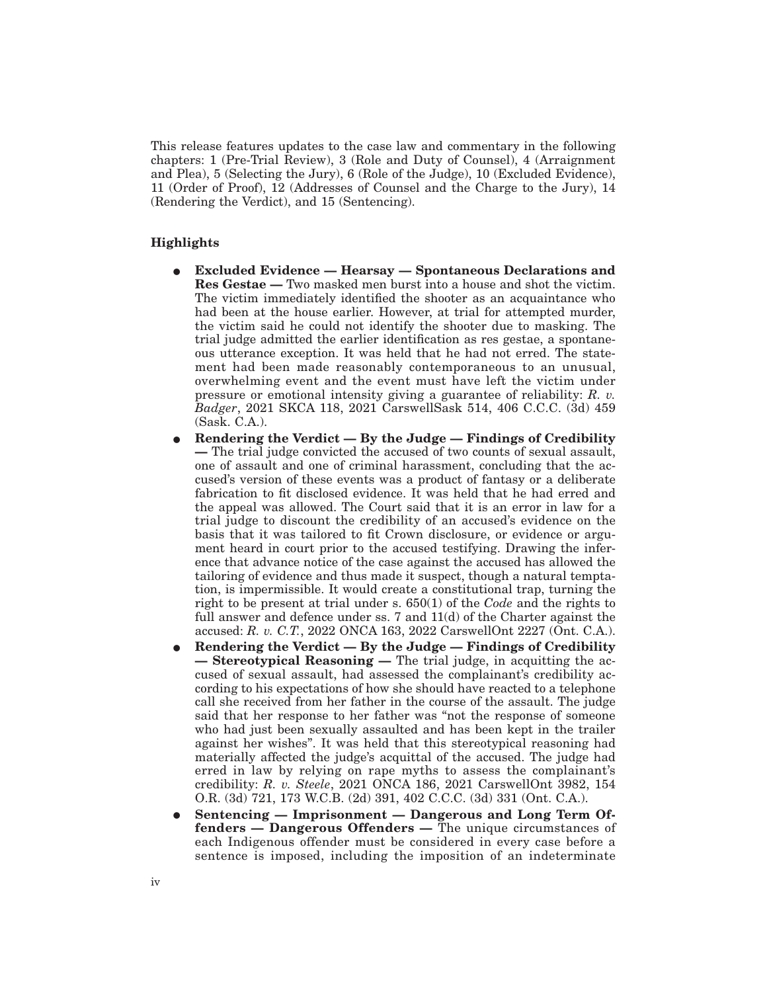This release features updates to the case law and commentary in the following chapters: 1 (Pre-Trial Review), 3 (Role and Duty of Counsel), 4 (Arraignment and Plea), 5 (Selecting the Jury), 6 (Role of the Judge), 10 (Excluded Evidence), 11 (Order of Proof), 12 (Addresses of Counsel and the Charge to the Jury), 14 (Rendering the Verdict), and 15 (Sentencing).

## **Highlights**

- E **Excluded Evidence Hearsay Spontaneous Declarations and Res Gestae —** Two masked men burst into a house and shot the victim. The victim immediately identified the shooter as an acquaintance who had been at the house earlier. However, at trial for attempted murder, the victim said he could not identify the shooter due to masking. The trial judge admitted the earlier identification as res gestae, a spontaneous utterance exception. It was held that he had not erred. The statement had been made reasonably contemporaneous to an unusual, overwhelming event and the event must have left the victim under pressure or emotional intensity giving a guarantee of reliability: *R. v. Badger*, 2021 SKCA 118, 2021 CarswellSask 514, 406 C.C.C. (3d) 459 (Sask. C.A.).
- E **Rendering the Verdict By the Judge Findings of Credibility —** The trial judge convicted the accused of two counts of sexual assault, one of assault and one of criminal harassment, concluding that the accused's version of these events was a product of fantasy or a deliberate fabrication to fit disclosed evidence. It was held that he had erred and the appeal was allowed. The Court said that it is an error in law for a trial judge to discount the credibility of an accused's evidence on the basis that it was tailored to fit Crown disclosure, or evidence or argument heard in court prior to the accused testifying. Drawing the inference that advance notice of the case against the accused has allowed the tailoring of evidence and thus made it suspect, though a natural temptation, is impermissible. It would create a constitutional trap, turning the right to be present at trial under s. 650(1) of the *Code* and the rights to full answer and defence under ss. 7 and 11(d) of the Charter against the accused: *R. v. C.T.*, 2022 ONCA 163, 2022 CarswellOnt 2227 (Ont. C.A.).
- E **Rendering the Verdict By the Judge Findings of Credibility — Stereotypical Reasoning —** The trial judge, in acquitting the accused of sexual assault, had assessed the complainant's credibility according to his expectations of how she should have reacted to a telephone call she received from her father in the course of the assault. The judge said that her response to her father was "not the response of someone who had just been sexually assaulted and has been kept in the trailer against her wishes". It was held that this stereotypical reasoning had materially affected the judge's acquittal of the accused. The judge had erred in law by relying on rape myths to assess the complainant's credibility: *R. v. Steele*, 2021 ONCA 186, 2021 CarswellOnt 3982, 154 O.R. (3d) 721, 173 W.C.B. (2d) 391, 402 C.C.C. (3d) 331 (Ont. C.A.).
- Sentencing Imprisonment Dangerous and Long Term Of**fenders — Dangerous Offenders —** The unique circumstances of each Indigenous offender must be considered in every case before a sentence is imposed, including the imposition of an indeterminate